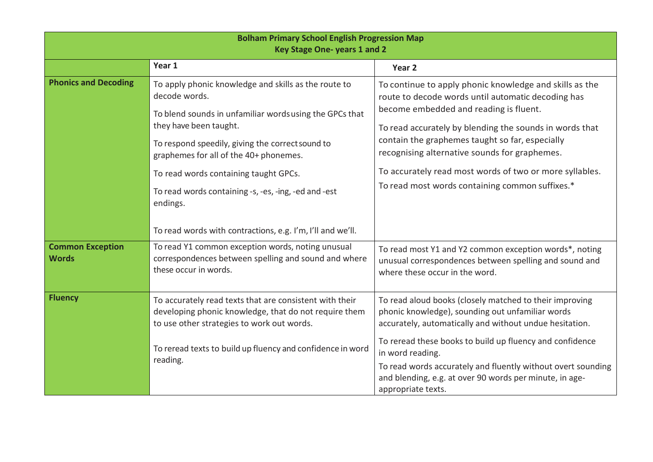| <b>Bolham Primary School English Progression Map</b><br>Key Stage One-years 1 and 2 |                                                                                                                                                                                                                                                                                                                                                                       |                                                                                                                                                                                                                                                                                                                                                                                                                                      |  |
|-------------------------------------------------------------------------------------|-----------------------------------------------------------------------------------------------------------------------------------------------------------------------------------------------------------------------------------------------------------------------------------------------------------------------------------------------------------------------|--------------------------------------------------------------------------------------------------------------------------------------------------------------------------------------------------------------------------------------------------------------------------------------------------------------------------------------------------------------------------------------------------------------------------------------|--|
|                                                                                     | Year 1                                                                                                                                                                                                                                                                                                                                                                | Year 2                                                                                                                                                                                                                                                                                                                                                                                                                               |  |
| <b>Phonics and Decoding</b>                                                         | To apply phonic knowledge and skills as the route to<br>decode words.<br>To blend sounds in unfamiliar words using the GPCs that<br>they have been taught.<br>To respond speedily, giving the correct sound to<br>graphemes for all of the 40+ phonemes.<br>To read words containing taught GPCs.<br>To read words containing -s, -es, -ing, -ed and -est<br>endings. | To continue to apply phonic knowledge and skills as the<br>route to decode words until automatic decoding has<br>become embedded and reading is fluent.<br>To read accurately by blending the sounds in words that<br>contain the graphemes taught so far, especially<br>recognising alternative sounds for graphemes.<br>To accurately read most words of two or more syllables.<br>To read most words containing common suffixes.* |  |
| <b>Common Exception</b><br><b>Words</b>                                             | To read words with contractions, e.g. I'm, I'll and we'll.<br>To read Y1 common exception words, noting unusual<br>correspondences between spelling and sound and where<br>these occur in words.                                                                                                                                                                      | To read most Y1 and Y2 common exception words*, noting<br>unusual correspondences between spelling and sound and<br>where these occur in the word.                                                                                                                                                                                                                                                                                   |  |
| <b>Fluency</b>                                                                      | To accurately read texts that are consistent with their<br>developing phonic knowledge, that do not require them<br>to use other strategies to work out words.<br>To reread texts to build up fluency and confidence in word<br>reading.                                                                                                                              | To read aloud books (closely matched to their improving<br>phonic knowledge), sounding out unfamiliar words<br>accurately, automatically and without undue hesitation.<br>To reread these books to build up fluency and confidence<br>in word reading.<br>To read words accurately and fluently without overt sounding<br>and blending, e.g. at over 90 words per minute, in age-<br>appropriate texts.                              |  |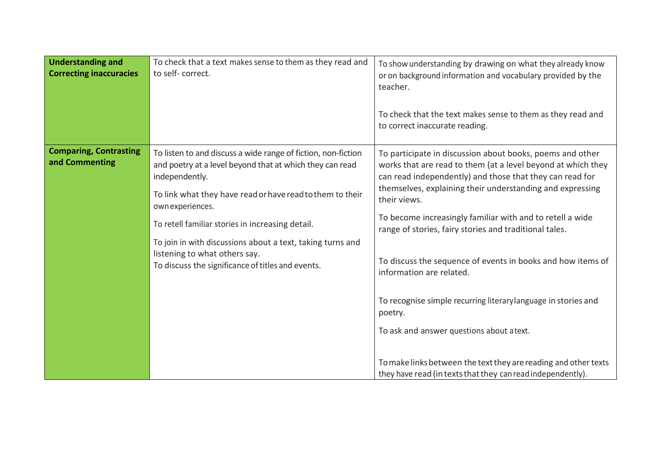| <b>Understanding and</b><br><b>Correcting inaccuracies</b> | To check that a text makes sense to them as they read and<br>to self-correct.                                                                                                                                                                                                                                                                                                                                                        | To show understanding by drawing on what they already know<br>or on background information and vocabulary provided by the<br>teacher.<br>To check that the text makes sense to them as they read and<br>to correct inaccurate reading.                                                                                                                                                                                                                                                                                                                                                                                                                                                                                                           |
|------------------------------------------------------------|--------------------------------------------------------------------------------------------------------------------------------------------------------------------------------------------------------------------------------------------------------------------------------------------------------------------------------------------------------------------------------------------------------------------------------------|--------------------------------------------------------------------------------------------------------------------------------------------------------------------------------------------------------------------------------------------------------------------------------------------------------------------------------------------------------------------------------------------------------------------------------------------------------------------------------------------------------------------------------------------------------------------------------------------------------------------------------------------------------------------------------------------------------------------------------------------------|
| <b>Comparing, Contrasting</b><br>and Commenting            | To listen to and discuss a wide range of fiction, non-fiction<br>and poetry at a level beyond that at which they can read<br>independently.<br>To link what they have read or have read to them to their<br>own experiences.<br>To retell familiar stories in increasing detail.<br>To join in with discussions about a text, taking turns and<br>listening to what others say.<br>To discuss the significance of titles and events. | To participate in discussion about books, poems and other<br>works that are read to them (at a level beyond at which they<br>can read independently) and those that they can read for<br>themselves, explaining their understanding and expressing<br>their views.<br>To become increasingly familiar with and to retell a wide<br>range of stories, fairy stories and traditional tales.<br>To discuss the sequence of events in books and how items of<br>information are related.<br>To recognise simple recurring literary language in stories and<br>poetry.<br>To ask and answer questions about a text.<br>To make links between the text they are reading and other texts<br>they have read (in texts that they can read independently). |